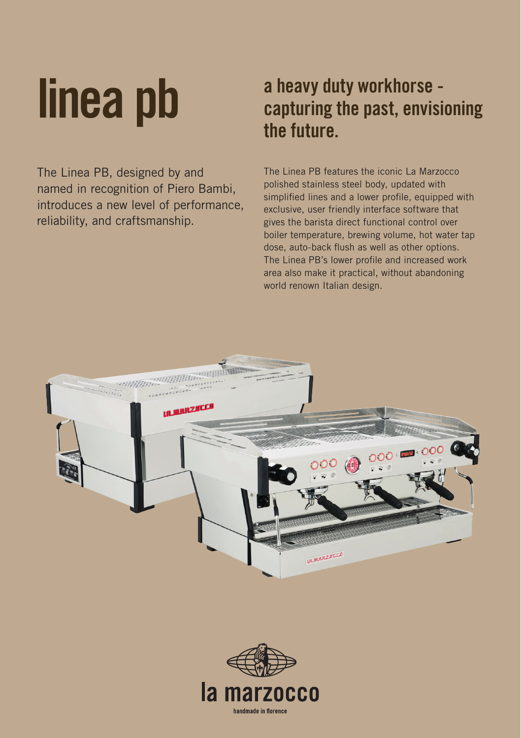The Linea PB, designed by and named in recognition of Piero Bambi, introduces a new level of performance, reliability, and craftsmanship.

## linea pb a heavy duty workhorse capturing the past, envisioning the future.

The Linea PB features the iconic La Marzocco polished stainless steel body, updated with simplified lines and a lower profile, equipped with exclusive, user friendly interface software that gives the barista direct functional control over boiler temperature, brewing volume, hot water tap dose, auto-back flush as well as other options. The Linea PB's lower profile and increased work area also make it practical, without abandoning world renown Italian design.